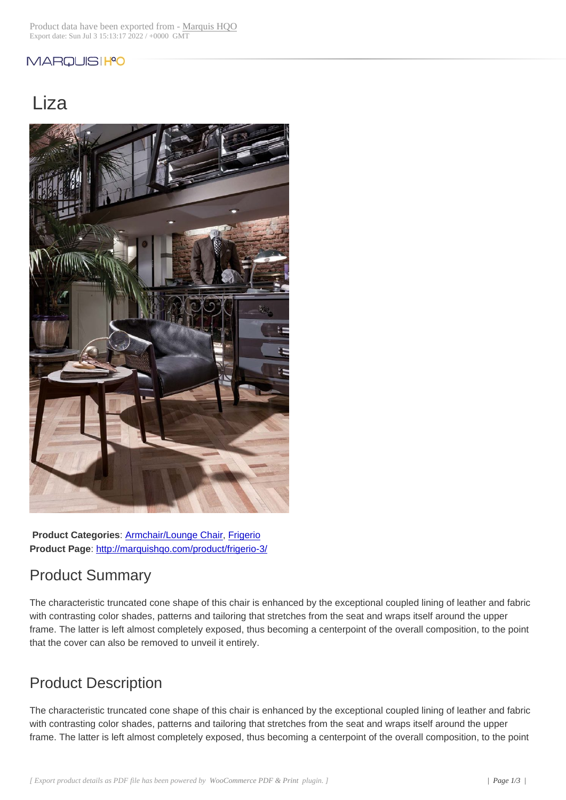#### **MARQUISIHO**

# Liza



**Product Categories**: Armchair/Lounge Chair, Frigerio **Product Page**: http://marquishqo.com/product/frigerio-3/

#### Product Sum[mary](http://marquishqo.com/product-category/area/area-living/area-living-armchairlounge-chair/)

The characteris[tic truncated cone shape of this chair is e](http://marquishqo.com/product/frigerio-3/)nhanced by the exceptional coupled lining of leather and fabric with contrasting color shades, patterns and tailoring that stretches from the seat and wraps itself around the upper frame. The latter is left almost completely exposed, thus becoming a centerpoint of the overall composition, to the point that the cover can also be removed to unveil it entirely.

## Product Description

The characteristic truncated cone shape of this chair is enhanced by the exceptional coupled lining of leather and fabric with contrasting color shades, patterns and tailoring that stretches from the seat and wraps itself around the upper frame. The latter is left almost completely exposed, thus becoming a centerpoint of the overall composition, to the point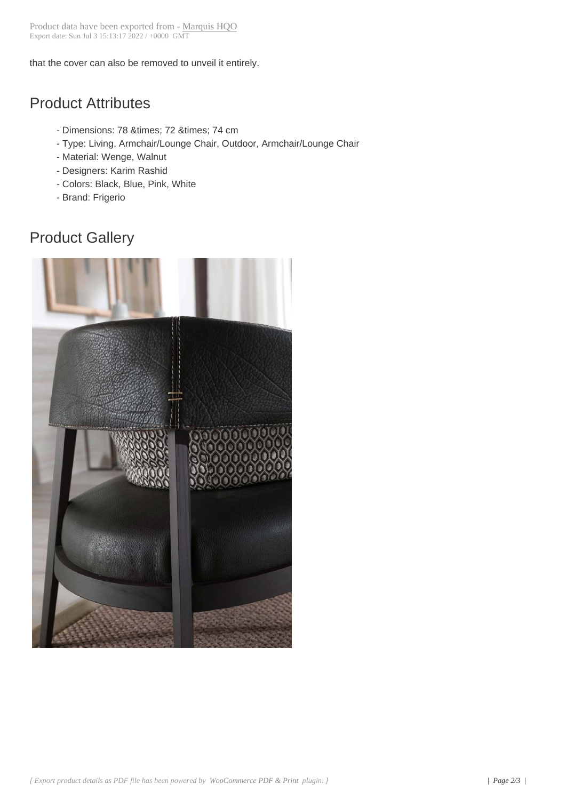that the cover can also be removed to unveil it entirely.

## Product Attributes

- Dimensions: 78 & times; 72 & times; 74 cm
- Type: Living, Armchair/Lounge Chair, Outdoor, Armchair/Lounge Chair
- Material: Wenge, Walnut
- Designers: Karim Rashid
- Colors: Black, Blue, Pink, White
- Brand: Frigerio

### Product Gallery